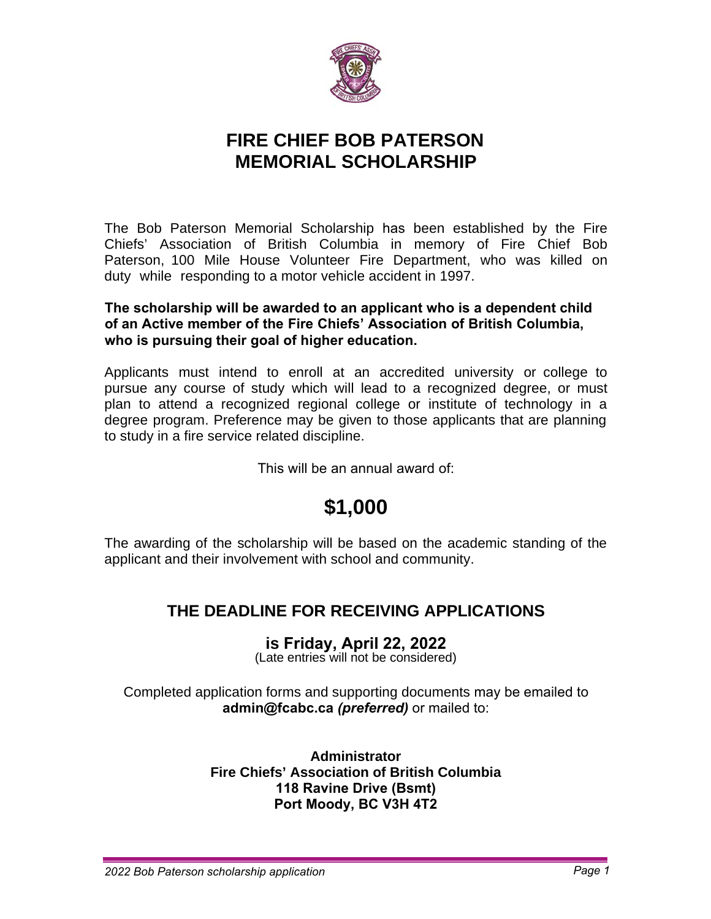

## **FIRE CHIEF BOB PATERSON MEMORIAL SCHOLARSHIP**

The Bob Paterson Memorial Scholarship has been established by the Fire Chiefs' Association of British Columbia in memory of Fire Chief Bob Paterson, 100 Mile House Volunteer Fire Department, who was killed on duty while responding to a motor vehicle accident in 1997.

### **The scholarship will be awarded to an applicant who is a dependent child of an Active member of the Fire Chiefs' Association of British Columbia, who is pursuing their goal of higher education.**

Applicants must intend to enroll at an accredited university or college to pursue any course of study which will lead to a recognized degree, or must plan to attend a recognized regional college or institute of technology in a degree program. Preference may be given to those applicants that are planning to study in a fire service related discipline.

This will be an annual award of:

# **\$1,000**

The awarding of the scholarship will be based on the academic standing of the applicant and their involvement with school and community.

### **THE DEADLINE FOR RECEIVING APPLICATIONS**

### **is Friday, April 22, 2022**

(Late entries will not be considered)

Completed application forms and supporting documents may be emailed to **admin@fcabc.ca** *(preferred)* or mailed to:

### **Administrator Fire Chiefs' Association of British Columbia 118 Ravine Drive (Bsmt) Port Moody, BC V3H 4T2**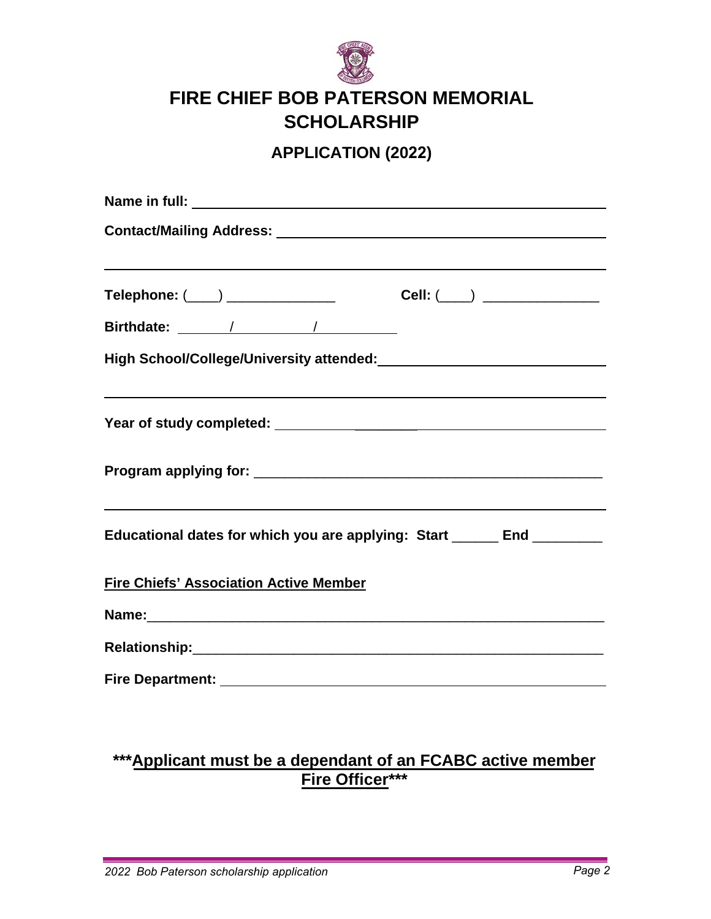

# **FIRE CHIEF BOB PATERSON MEMORIAL SCHOLARSHIP**

### **APPLICATION (2022)**

| Telephone: (____) ____________                                                   | Cell: (____) _______________ |
|----------------------------------------------------------------------------------|------------------------------|
|                                                                                  |                              |
|                                                                                  |                              |
| ,我们也不会有什么。""我们的人,我们也不会有什么?""我们的人,我们也不会有什么?""我们的人,我们也不会有什么?""我们的人,我们也不会有什么?""我们的人 |                              |
|                                                                                  |                              |
|                                                                                  |                              |
| Educational dates for which you are applying: Start ______ End ________          |                              |
| <b>Fire Chiefs' Association Active Member</b>                                    |                              |
|                                                                                  |                              |
|                                                                                  |                              |
|                                                                                  |                              |
|                                                                                  |                              |

### **\*\*\*Applicant must be a dependant of an FCABC active member Fire Officer\*\*\***